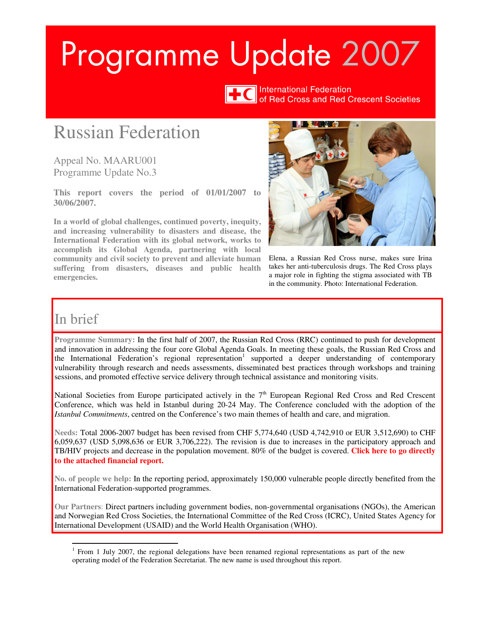# Programme Update 2007



International Federation<br>of Red Cross and Red Crescent Societies

# Russian Federation

Appeal No. MAARU001 Programme Update No.3

**This report covers the period of 01/01/2007 to 30/06/2007.** 

**In a world of global challenges, continued poverty, inequity, and increasing vulnerability to disasters and disease, the International Federation with its global network, works to accomplish its Global Agenda, partnering with local community and civil society to prevent and alleviate human suffering from disasters, diseases and public health emergencies.**



Elena, a Russian Red Cross nurse, makes sure Irina takes her anti-tuberculosis drugs. The Red Cross plays a major role in fighting the stigma associated with TB in the community. Photo: International Federation.

## In brief

 $\overline{a}$ 

**Programme Summary:** In the first half of 2007, the Russian Red Cross (RRC) continued to push for development and innovation in addressing the four core Global Agenda Goals. In meeting these goals, the Russian Red Cross and the International Federation's regional representation<sup>1</sup> supported a deeper understanding of contemporary vulnerability through research and needs assessments, disseminated best practices through workshops and training sessions, and promoted effective service delivery through technical assistance and monitoring visits.

National Societies from Europe participated actively in the  $7<sup>th</sup>$  European Regional Red Cross and Red Crescent Conference, which was held in Istanbul during 20-24 May. The Conference concluded with the adoption of the *Istanbul Commitments*, centred on the Conference's two main themes of health and care, and migration.

**Needs:** Total 2006-2007 budget has been revised from CHF 5,774,640 (USD 4,742,910 or EUR 3,512,690) to CHF 6,059,637 (USD 5,098,636 or EUR 3,706,222). The revision is due to increases in the participatory approach and TB/HIV projects and decrease in the population movement. 80% of the budget is covered. **[Click here to go directly](#page-5-0)  [to the attached financial report.](#page-8-0)** 

**No. of people we help:** In the reporting period, approximately 150,000 vulnerable people directly benefited from the International Federation-supported programmes.

**Our Partners**: Direct partners including government bodies, non-governmental organisations (NGOs), the American and Norwegian Red Cross Societies, the International Committee of the Red Cross (ICRC), United States Agency for International Development (USAID) and the World Health Organisation (WHO).

<sup>&</sup>lt;sup>1</sup> From 1 July 2007, the regional delegations have been renamed regional representations as part of the new operating model of the Federation Secretariat. The new name is used throughout this report.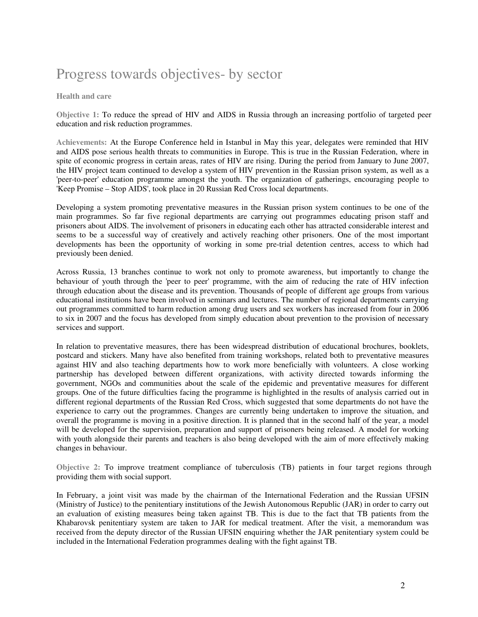# Progress towards objectives- by sector

#### **Health and care**

**Objective 1:** To reduce the spread of HIV and AIDS in Russia through an increasing portfolio of targeted peer education and risk reduction programmes.

**Achievements:** At the Europe Conference held in Istanbul in May this year, delegates were reminded that HIV and AIDS pose serious health threats to communities in Europe. This is true in the Russian Federation, where in spite of economic progress in certain areas, rates of HIV are rising. During the period from January to June 2007, the HIV project team continued to develop a system of HIV prevention in the Russian prison system, as well as a 'peer-to-peer' education programme amongst the youth. The organization of gatherings, encouraging people to 'Keep Promise – Stop AIDS', took place in 20 Russian Red Cross local departments.

Developing a system promoting preventative measures in the Russian prison system continues to be one of the main programmes. So far five regional departments are carrying out programmes educating prison staff and prisoners about AIDS. The involvement of prisoners in educating each other has attracted considerable interest and seems to be a successful way of creatively and actively reaching other prisoners. One of the most important developments has been the opportunity of working in some pre-trial detention centres, access to which had previously been denied.

Across Russia, 13 branches continue to work not only to promote awareness, but importantly to change the behaviour of youth through the 'peer to peer' programme, with the aim of reducing the rate of HIV infection through education about the disease and its prevention. Thousands of people of different age groups from various educational institutions have been involved in seminars and lectures. The number of regional departments carrying out programmes committed to harm reduction among drug users and sex workers has increased from four in 2006 to six in 2007 and the focus has developed from simply education about prevention to the provision of necessary services and support.

In relation to preventative measures, there has been widespread distribution of educational brochures, booklets, postcard and stickers. Many have also benefited from training workshops, related both to preventative measures against HIV and also teaching departments how to work more beneficially with volunteers. A close working partnership has developed between different organizations, with activity directed towards informing the government, NGOs and communities about the scale of the epidemic and preventative measures for different groups. One of the future difficulties facing the programme is highlighted in the results of analysis carried out in different regional departments of the Russian Red Cross, which suggested that some departments do not have the experience to carry out the programmes. Changes are currently being undertaken to improve the situation, and overall the programme is moving in a positive direction. It is planned that in the second half of the year, a model will be developed for the supervision, preparation and support of prisoners being released. A model for working with youth alongside their parents and teachers is also being developed with the aim of more effectively making changes in behaviour.

**Objective 2:** To improve treatment compliance of tuberculosis (TB) patients in four target regions through providing them with social support.

In February, a joint visit was made by the chairman of the International Federation and the Russian UFSIN (Ministry of Justice) to the penitentiary institutions of the Jewish Autonomous Republic (JAR) in order to carry out an evaluation of existing measures being taken against TB. This is due to the fact that TB patients from the Khabarovsk penitentiary system are taken to JAR for medical treatment. After the visit, a memorandum was received from the deputy director of the Russian UFSIN enquiring whether the JAR penitentiary system could be included in the International Federation programmes dealing with the fight against TB.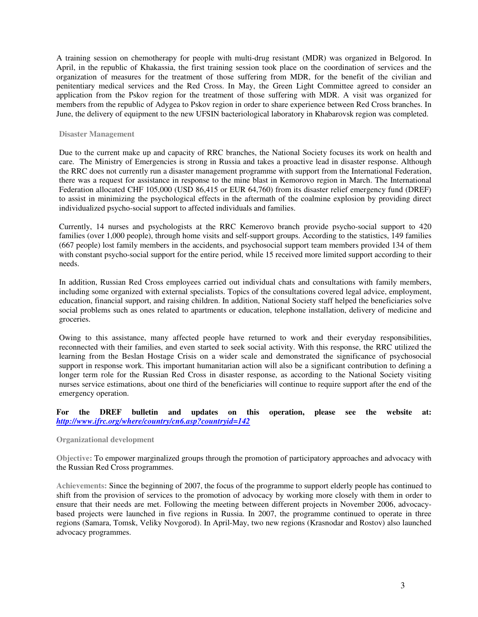A training session on chemotherapy for people with multi-drug resistant (MDR) was organized in Belgorod. In April, in the republic of Khakassia, the first training session took place on the coordination of services and the organization of measures for the treatment of those suffering from MDR, for the benefit of the civilian and penitentiary medical services and the Red Cross. In May, the Green Light Committee agreed to consider an application from the Pskov region for the treatment of those suffering with MDR. A visit was organized for members from the republic of Adygea to Pskov region in order to share experience between Red Cross branches. In June, the delivery of equipment to the new UFSIN bacteriological laboratory in Khabarovsk region was completed.

#### **Disaster Management**

Due to the current make up and capacity of RRC branches, the National Society focuses its work on health and care. The Ministry of Emergencies is strong in Russia and takes a proactive lead in disaster response. Although the RRC does not currently run a disaster management programme with support from the International Federation, there was a request for assistance in response to the mine blast in Kemorovo region in March. The International Federation allocated CHF 105,000 (USD 86,415 or EUR 64,760) from its disaster relief emergency fund (DREF) to assist in minimizing the psychological effects in the aftermath of the coalmine explosion by providing direct individualized psycho-social support to affected individuals and families.

Currently, 14 nurses and psychologists at the RRC Kemerovo branch provide psycho-social support to 420 families (over 1,000 people), through home visits and self-support groups. According to the statistics, 149 families (667 people) lost family members in the accidents, and psychosocial support team members provided 134 of them with constant psycho-social support for the entire period, while 15 received more limited support according to their needs.

In addition, Russian Red Cross employees carried out individual chats and consultations with family members, including some organized with external specialists. Topics of the consultations covered legal advice, employment, education, financial support, and raising children. In addition, National Society staff helped the beneficiaries solve social problems such as ones related to apartments or education, telephone installation, delivery of medicine and groceries.

Owing to this assistance, many affected people have returned to work and their everyday responsibilities, reconnected with their families, and even started to seek social activity. With this response, the RRC utilized the learning from the Beslan Hostage Crisis on a wider scale and demonstrated the significance of psychosocial support in response work. This important humanitarian action will also be a significant contribution to defining a longer term role for the Russian Red Cross in disaster response, as according to the National Society visiting nurses service estimations, about one third of the beneficiaries will continue to require support after the end of the emergency operation.

#### **For the DREF bulletin and updates on this operation, please see the website at:** *<http://www.ifrc.org/where/country/cn6.asp?countryid=142>*

#### **Organizational development**

**Objective:** To empower marginalized groups through the promotion of participatory approaches and advocacy with the Russian Red Cross programmes.

**Achievements:** Since the beginning of 2007, the focus of the programme to support elderly people has continued to shift from the provision of services to the promotion of advocacy by working more closely with them in order to ensure that their needs are met. Following the meeting between different projects in November 2006, advocacybased projects were launched in five regions in Russia. In 2007, the programme continued to operate in three regions (Samara, Tomsk, Veliky Novgorod). In April-May, two new regions (Krasnodar and Rostov) also launched advocacy programmes.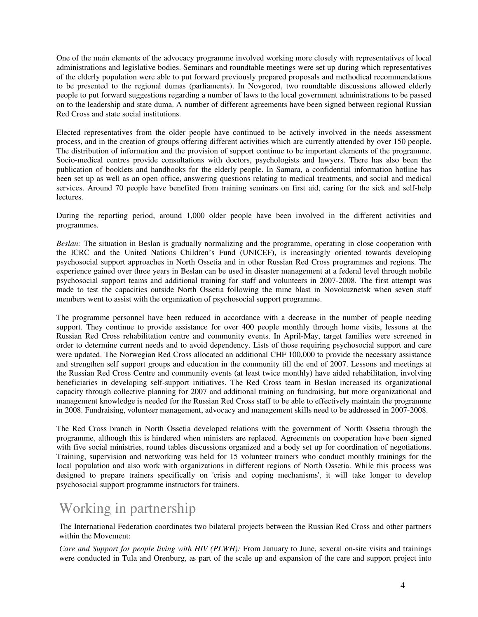One of the main elements of the advocacy programme involved working more closely with representatives of local administrations and legislative bodies. Seminars and roundtable meetings were set up during which representatives of the elderly population were able to put forward previously prepared proposals and methodical recommendations to be presented to the regional dumas (parliaments). In Novgorod, two roundtable discussions allowed elderly people to put forward suggestions regarding a number of laws to the local government administrations to be passed on to the leadership and state duma. A number of different agreements have been signed between regional Russian Red Cross and state social institutions.

Elected representatives from the older people have continued to be actively involved in the needs assessment process, and in the creation of groups offering different activities which are currently attended by over 150 people. The distribution of information and the provision of support continue to be important elements of the programme. Socio-medical centres provide consultations with doctors, psychologists and lawyers. There has also been the publication of booklets and handbooks for the elderly people. In Samara, a confidential information hotline has been set up as well as an open office, answering questions relating to medical treatments, and social and medical services. Around 70 people have benefited from training seminars on first aid, caring for the sick and self-help lectures.

During the reporting period, around 1,000 older people have been involved in the different activities and programmes.

*Beslan:* The situation in Beslan is gradually normalizing and the programme, operating in close cooperation with the ICRC and the United Nations Children's Fund (UNICEF), is increasingly oriented towards developing psychosocial support approaches in North Ossetia and in other Russian Red Cross programmes and regions. The experience gained over three years in Beslan can be used in disaster management at a federal level through mobile psychosocial support teams and additional training for staff and volunteers in 2007-2008. The first attempt was made to test the capacities outside North Ossetia following the mine blast in Novokuznetsk when seven staff members went to assist with the organization of psychosocial support programme.

The programme personnel have been reduced in accordance with a decrease in the number of people needing support. They continue to provide assistance for over 400 people monthly through home visits, lessons at the Russian Red Cross rehabilitation centre and community events. In April-May, target families were screened in order to determine current needs and to avoid dependency. Lists of those requiring psychosocial support and care were updated. The Norwegian Red Cross allocated an additional CHF 100,000 to provide the necessary assistance and strengthen self support groups and education in the community till the end of 2007. Lessons and meetings at the Russian Red Cross Centre and community events (at least twice monthly) have aided rehabilitation, involving beneficiaries in developing self-support initiatives. The Red Cross team in Beslan increased its organizational capacity through collective planning for 2007 and additional training on fundraising, but more organizational and management knowledge is needed for the Russian Red Cross staff to be able to effectively maintain the programme in 2008. Fundraising, volunteer management, advocacy and management skills need to be addressed in 2007-2008.

The Red Cross branch in North Ossetia developed relations with the government of North Ossetia through the programme, although this is hindered when ministers are replaced. Agreements on cooperation have been signed with five social ministries, round tables discussions organized and a body set up for coordination of negotiations. Training, supervision and networking was held for 15 volunteer trainers who conduct monthly trainings for the local population and also work with organizations in different regions of North Ossetia. While this process was designed to prepare trainers specifically on 'crisis and coping mechanisms', it will take longer to develop psychosocial support programme instructors for trainers.

# Working in partnership

The International Federation coordinates two bilateral projects between the Russian Red Cross and other partners within the Movement:

*Care and Support for people living with HIV (PLWH):* From January to June, several on-site visits and trainings were conducted in Tula and Orenburg, as part of the scale up and expansion of the care and support project into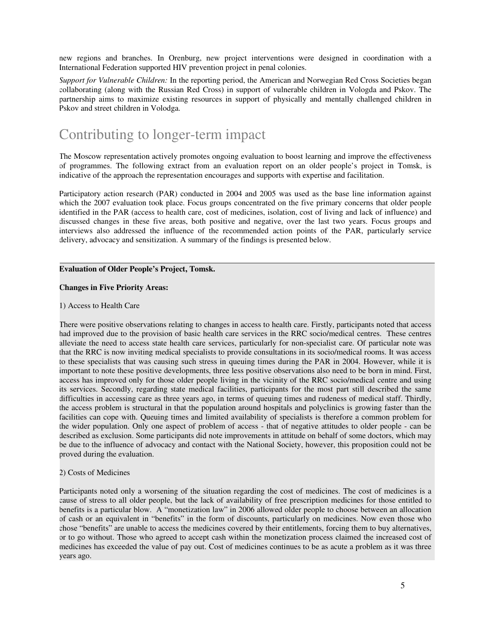new regions and branches. In Orenburg, new project interventions were designed in coordination with a International Federation supported HIV prevention project in penal colonies.

*Support for Vulnerable Children:* In the reporting period, the American and Norwegian Red Cross Societies began collaborating (along with the Russian Red Cross) in support of vulnerable children in Vologda and Pskov. The partnership aims to maximize existing resources in support of physically and mentally challenged children in Pskov and street children in Volodga.

# Contributing to longer-term impact

The Moscow representation actively promotes ongoing evaluation to boost learning and improve the effectiveness of programmes. The following extract from an evaluation report on an older people's project in Tomsk, is indicative of the approach the representation encourages and supports with expertise and facilitation.

Participatory action research (PAR) conducted in 2004 and 2005 was used as the base line information against which the 2007 evaluation took place. Focus groups concentrated on the five primary concerns that older people identified in the PAR (access to health care, cost of medicines, isolation, cost of living and lack of influence) and discussed changes in these five areas, both positive and negative, over the last two years. Focus groups and interviews also addressed the influence of the recommended action points of the PAR, particularly service delivery, advocacy and sensitization. A summary of the findings is presented below.

#### **Evaluation of Older People's Project, Tomsk.**

#### **Changes in Five Priority Areas:**

#### 1) Access to Health Care

There were positive observations relating to changes in access to health care. Firstly, participants noted that access had improved due to the provision of basic health care services in the RRC socio/medical centres. These centres alleviate the need to access state health care services, particularly for non-specialist care. Of particular note was that the RRC is now inviting medical specialists to provide consultations in its socio/medical rooms. It was access to these specialists that was causing such stress in queuing times during the PAR in 2004. However, while it is important to note these positive developments, three less positive observations also need to be born in mind. First, access has improved only for those older people living in the vicinity of the RRC socio/medical centre and using its services. Secondly, regarding state medical facilities, participants for the most part still described the same difficulties in accessing care as three years ago, in terms of queuing times and rudeness of medical staff. Thirdly, the access problem is structural in that the population around hospitals and polyclinics is growing faster than the facilities can cope with. Queuing times and limited availability of specialists is therefore a common problem for the wider population. Only one aspect of problem of access - that of negative attitudes to older people - can be described as exclusion. Some participants did note improvements in attitude on behalf of some doctors, which may be due to the influence of advocacy and contact with the National Society, however, this proposition could not be proved during the evaluation.

#### 2) Costs of Medicines

Participants noted only a worsening of the situation regarding the cost of medicines. The cost of medicines is a cause of stress to all older people, but the lack of availability of free prescription medicines for those entitled to benefits is a particular blow. A "monetization law" in 2006 allowed older people to choose between an allocation of cash or an equivalent in "benefits" in the form of discounts, particularly on medicines. Now even those who chose "benefits" are unable to access the medicines covered by their entitlements, forcing them to buy alternatives, or to go without. Those who agreed to accept cash within the monetization process claimed the increased cost of medicines has exceeded the value of pay out. Cost of medicines continues to be as acute a problem as it was three years ago.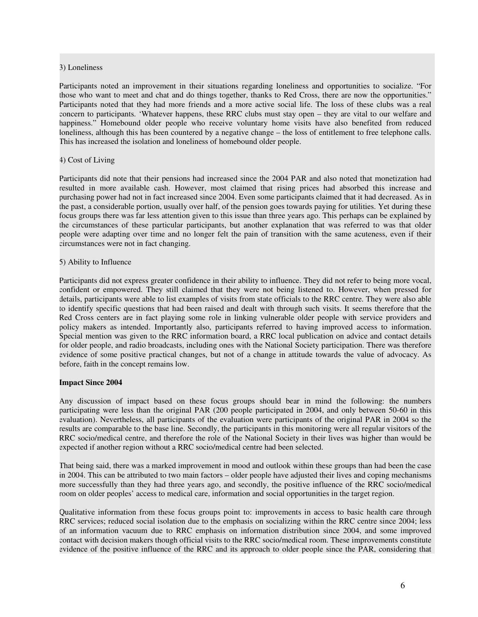#### <span id="page-5-0"></span>3) Loneliness

Participants noted an improvement in their situations regarding loneliness and opportunities to socialize. "For those who want to meet and chat and do things together, thanks to Red Cross, there are now the opportunities." Participants noted that they had more friends and a more active social life. The loss of these clubs was a real concern to participants. 'Whatever happens, these RRC clubs must stay open – they are vital to our welfare and happiness." Homebound older people who receive voluntary home visits have also benefited from reduced loneliness, although this has been countered by a negative change – the loss of entitlement to free telephone calls. This has increased the isolation and loneliness of homebound older people.

#### 4) Cost of Living

Participants did note that their pensions had increased since the 2004 PAR and also noted that monetization had resulted in more available cash. However, most claimed that rising prices had absorbed this increase and purchasing power had not in fact increased since 2004. Even some participants claimed that it had decreased. As in the past, a considerable portion, usually over half, of the pension goes towards paying for utilities. Yet during these focus groups there was far less attention given to this issue than three years ago. This perhaps can be explained by the circumstances of these particular participants, but another explanation that was referred to was that older people were adapting over time and no longer felt the pain of transition with the same acuteness, even if their circumstances were not in fact changing.

#### 5) Ability to Influence

Participants did not express greater confidence in their ability to influence. They did not refer to being more vocal, confident or empowered. They still claimed that they were not being listened to. However, when pressed for details, participants were able to list examples of visits from state officials to the RRC centre. They were also able to identify specific questions that had been raised and dealt with through such visits. It seems therefore that the Red Cross centers are in fact playing some role in linking vulnerable older people with service providers and policy makers as intended. Importantly also, participants referred to having improved access to information. Special mention was given to the RRC information board, a RRC local publication on advice and contact details for older people, and radio broadcasts, including ones with the National Society participation. There was therefore evidence of some positive practical changes, but not of a change in attitude towards the value of advocacy. As before, faith in the concept remains low.

#### **Impact Since 2004**

Any discussion of impact based on these focus groups should bear in mind the following: the numbers participating were less than the original PAR (200 people participated in 2004, and only between 50-60 in this evaluation). Nevertheless, all participants of the evaluation were participants of the original PAR in 2004 so the results are comparable to the base line. Secondly, the participants in this monitoring were all regular visitors of the RRC socio/medical centre, and therefore the role of the National Society in their lives was higher than would be expected if another region without a RRC socio/medical centre had been selected.

That being said, there was a marked improvement in mood and outlook within these groups than had been the case in 2004. This can be attributed to two main factors – older people have adjusted their lives and coping mechanisms more successfully than they had three years ago, and secondly, the positive influence of the RRC socio/medical room on older peoples' access to medical care, information and social opportunities in the target region.

Qualitative information from these focus groups point to: improvements in access to basic health care through RRC services; reduced social isolation due to the emphasis on socializing within the RRC centre since 2004; less of an information vacuum due to RRC emphasis on information distribution since 2004, and some improved contact with decision makers though official visits to the RRC socio/medical room. These improvements constitute evidence of the positive influence of the RRC and its approach to older people since the PAR, considering that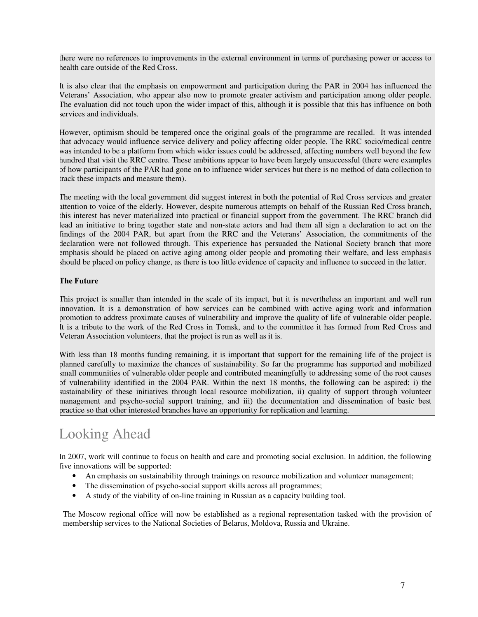there were no references to improvements in the external environment in terms of purchasing power or access to health care outside of the Red Cross.

It is also clear that the emphasis on empowerment and participation during the PAR in 2004 has influenced the Veterans' Association, who appear also now to promote greater activism and participation among older people. The evaluation did not touch upon the wider impact of this, although it is possible that this has influence on both services and individuals.

However, optimism should be tempered once the original goals of the programme are recalled. It was intended that advocacy would influence service delivery and policy affecting older people. The RRC socio/medical centre was intended to be a platform from which wider issues could be addressed, affecting numbers well beyond the few hundred that visit the RRC centre. These ambitions appear to have been largely unsuccessful (there were examples of how participants of the PAR had gone on to influence wider services but there is no method of data collection to track these impacts and measure them).

The meeting with the local government did suggest interest in both the potential of Red Cross services and greater attention to voice of the elderly. However, despite numerous attempts on behalf of the Russian Red Cross branch, this interest has never materialized into practical or financial support from the government. The RRC branch did lead an initiative to bring together state and non-state actors and had them all sign a declaration to act on the findings of the 2004 PAR, but apart from the RRC and the Veterans' Association, the commitments of the declaration were not followed through. This experience has persuaded the National Society branch that more emphasis should be placed on active aging among older people and promoting their welfare, and less emphasis should be placed on policy change, as there is too little evidence of capacity and influence to succeed in the latter.

#### **The Future**

This project is smaller than intended in the scale of its impact, but it is nevertheless an important and well run innovation. It is a demonstration of how services can be combined with active aging work and information promotion to address proximate causes of vulnerability and improve the quality of life of vulnerable older people. It is a tribute to the work of the Red Cross in Tomsk, and to the committee it has formed from Red Cross and Veteran Association volunteers, that the project is run as well as it is.

With less than 18 months funding remaining, it is important that support for the remaining life of the project is planned carefully to maximize the chances of sustainability. So far the programme has supported and mobilized small communities of vulnerable older people and contributed meaningfully to addressing some of the root causes of vulnerability identified in the 2004 PAR. Within the next 18 months, the following can be aspired: i) the sustainability of these initiatives through local resource mobilization, ii) quality of support through volunteer management and psycho-social support training, and iii) the documentation and dissemination of basic best practice so that other interested branches have an opportunity for replication and learning.

# Looking Ahead

In 2007, work will continue to focus on health and care and promoting social exclusion. In addition, the following five innovations will be supported:

- An emphasis on sustainability through trainings on resource mobilization and volunteer management;
- The dissemination of psycho-social support skills across all programmes;
- A study of the viability of on-line training in Russian as a capacity building tool.

The Moscow regional office will now be established as a regional representation tasked with the provision of membership services to the National Societies of Belarus, Moldova, Russia and Ukraine.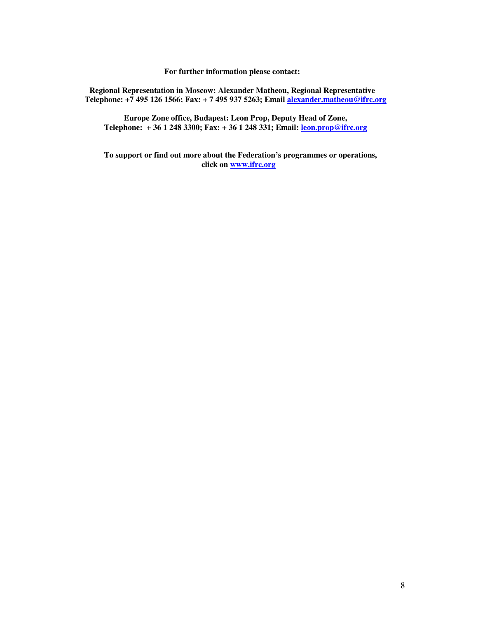**For further information please contact:** 

**Regional Representation in Moscow: Alexander Matheou, Regional Representative Telephone: +7 495 126 1566; Fax: + 7 495 937 5263; Email alexander.matheou@ifrc.org**

**Europe Zone office, Budapest: Leon Prop, Deputy Head of Zone, Telephone: + 36 1 248 3300; Fax: + 36 1 248 331; Email: leon.prop@ifrc.org**

**To support or find out more about the Federation's programmes or operations, click on www.ifrc.org**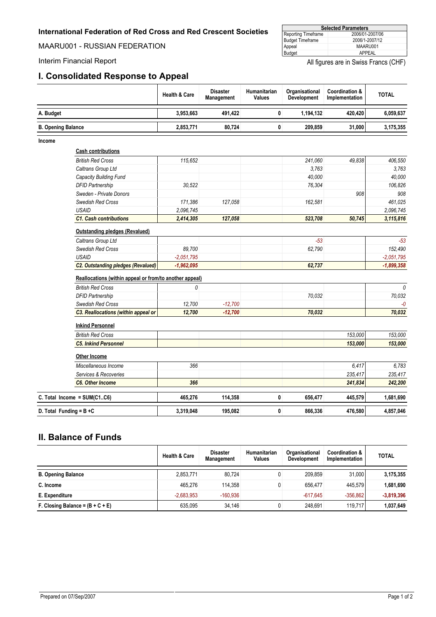<span id="page-8-0"></span>MAARU001 - RUSSIAN FEDERATION

#### **I. Consolidated Response to Appeal**

| <b>Selected Parameters</b> |                 |  |  |  |  |
|----------------------------|-----------------|--|--|--|--|
| Reporting Timeframe        | 2006/01-2007/06 |  |  |  |  |
| <b>Budget Timeframe</b>    | 2006/1-2007/12  |  |  |  |  |
| Appeal                     | MAARU001        |  |  |  |  |
| Budget                     | APPEAL          |  |  |  |  |

Interim Financial Report **All figures** are in Swiss Francs (CHF)

|                            |                                                         | <b>Health &amp; Care</b> | <b>Disaster</b><br>Management | Humanitarian<br>Values | Organisational<br>Development | Coordination &<br>Implementation | <b>TOTAL</b> |
|----------------------------|---------------------------------------------------------|--------------------------|-------------------------------|------------------------|-------------------------------|----------------------------------|--------------|
| A. Budget                  |                                                         | 3,953,663                | 491,422                       | 0                      | 1,194,132                     | 420,420                          | 6,059,637    |
| <b>B. Opening Balance</b>  |                                                         | 2,853,771                | 80,724                        | 0                      | 209,859                       | 31,000                           | 3,175,355    |
| Income                     |                                                         |                          |                               |                        |                               |                                  |              |
|                            | <b>Cash contributions</b>                               |                          |                               |                        |                               |                                  |              |
|                            | <b>British Red Cross</b>                                | 115,652                  |                               |                        | 241,060                       | 49,838                           | 406,550      |
|                            | Caltrans Group Ltd                                      |                          |                               |                        | 3.763                         |                                  | 3.763        |
|                            | Capacity Building Fund                                  |                          |                               |                        | 40,000                        |                                  | 40,000       |
|                            | <b>DFID Partnership</b>                                 | 30.522                   |                               |                        | 76,304                        |                                  | 106.826      |
|                            | Sweden - Private Donors                                 |                          |                               |                        |                               | 908                              | 908          |
|                            | Swedish Red Cross                                       | 171,386                  | 127,058                       |                        | 162,581                       |                                  | 461,025      |
|                            | <b>USAID</b>                                            | 2.096.745                |                               |                        |                               |                                  | 2.096.745    |
|                            | <b>C1. Cash contributions</b>                           | 2,414,305                | 127,058                       |                        | 523,708                       | 50,745                           | 3,115,816    |
|                            | <b>Outstanding pledges (Revalued)</b>                   |                          |                               |                        |                               |                                  |              |
|                            | Caltrans Group Ltd                                      |                          |                               |                        | $-53$                         |                                  | $-53$        |
|                            | Swedish Red Cross                                       | 89,700                   |                               |                        | 62,790                        |                                  | 152,490      |
|                            | <b>USAID</b>                                            | $-2.051.795$             |                               |                        |                               |                                  | $-2,051,795$ |
|                            | <b>C2. Outstanding pledges (Revalued)</b>               | $-1,962,095$             |                               |                        | 62,737                        |                                  | $-1,899,358$ |
|                            | Reallocations (within appeal or from/to another appeal) |                          |                               |                        |                               |                                  |              |
|                            | <b>British Red Cross</b>                                | 0                        |                               |                        |                               |                                  | $\theta$     |
|                            | <b>DFID Partnership</b>                                 |                          |                               |                        | 70,032                        |                                  | 70,032       |
|                            | Swedish Red Cross                                       | 12.700                   | $-12.700$                     |                        |                               |                                  | $-0$         |
|                            | C3. Reallocations (within appeal or                     | 12,700                   | $-12,700$                     |                        | 70,032                        |                                  | 70,032       |
|                            | <b>Inkind Personnel</b>                                 |                          |                               |                        |                               |                                  |              |
|                            | <b>British Red Cross</b>                                |                          |                               |                        |                               | 153,000                          | 153,000      |
|                            | <b>C5. Inkind Personnel</b>                             |                          |                               |                        |                               | 153,000                          | 153,000      |
|                            | Other Income                                            |                          |                               |                        |                               |                                  |              |
|                            | Miscellaneous Income                                    | 366                      |                               |                        |                               | 6.417                            | 6,783        |
|                            | Services & Recoveries                                   |                          |                               |                        |                               | 235,417                          | 235,417      |
|                            | C6. Other Income                                        | 366                      |                               |                        |                               | 241,834                          | 242,200      |
|                            | C. Total Income = SUM(C1C6)                             | 465,276                  | 114,358                       | 0                      | 656,477                       | 445,579                          | 1,681,690    |
| D. Total Funding = $B + C$ |                                                         | 3.319.048                | 195,082                       | 0                      | 866.336                       | 476,580                          | 4,857,046    |

#### **II. Balance of Funds**

|                                    | <b>Health &amp; Care</b> | <b>Disaster</b><br>Management | Humanitarian<br>Values | Organisational<br><b>Development</b> | Coordination &<br><b>Implementation</b> | <b>TOTAL</b> |
|------------------------------------|--------------------------|-------------------------------|------------------------|--------------------------------------|-----------------------------------------|--------------|
| <b>B. Opening Balance</b>          | 2,853,771                | 80,724                        |                        | 209.859                              | 31.000                                  | 3,175,355    |
| C. Income                          | 465.276                  | 114.358                       |                        | 656.477                              | 445.579                                 | 1,681,690    |
| E. Expenditure                     | $-2.683.953$             | $-160.936$                    |                        | $-617.645$                           | $-356.862$                              | $-3,819,396$ |
| F. Closing Balance = $(B + C + E)$ | 635.095                  | 34.146                        |                        | 248.691                              | 119.717                                 | 1,037,649    |